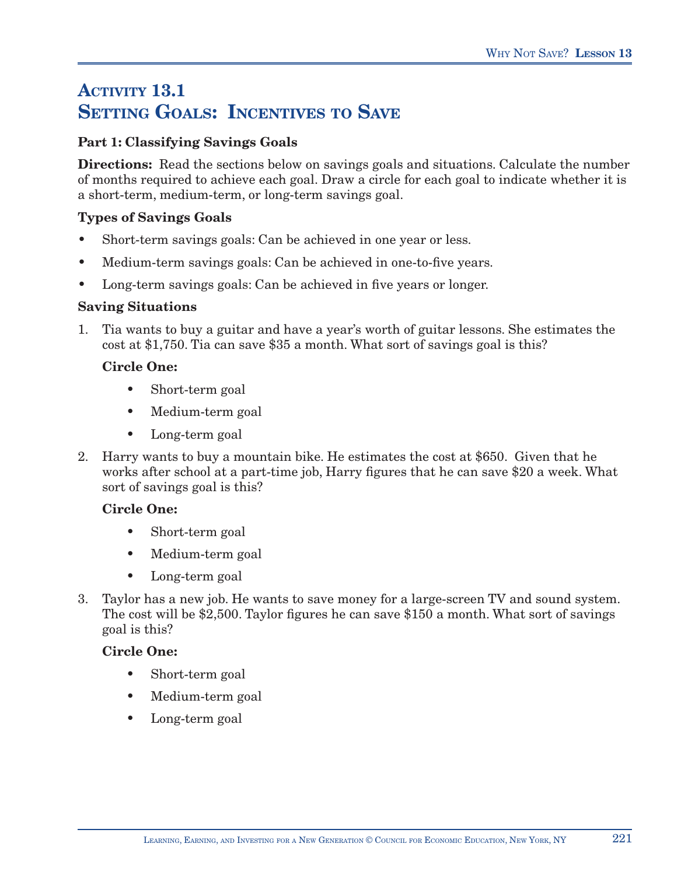# **ACTIVITY 13.1 SETTING GOALS: INCENTIVES TO SAVE**

## **Part 1: Classifying Savings Goals**

**Directions:** Read the sections below on savings goals and situations. Calculate the number of months required to achieve each goal. Draw a circle for each goal to indicate whether it is a short-term, medium-term, or long-term savings goal.

### **Types of Savings Goals**

- Short-term savings goals: Can be achieved in one year or less.
- Medium-term savings goals: Can be achieved in one-to-five years.
- Long-term savings goals: Can be achieved in five years or longer.

#### **Saving Situations**

1. Tia wants to buy a guitar and have a year's worth of guitar lessons. She estimates the cost at \$1,750. Tia can save \$35 a month. What sort of savings goal is this?

#### **Circle One:**

- Short-term goal
- Medium-term goal
- Long-term goal
- 2. Harry wants to buy a mountain bike. He estimates the cost at \$650. Given that he works after school at a part-time job, Harry figures that he can save \$20 a week. What sort of savings goal is this?

#### **Circle One:**

- Short-term goal
- Medium-term goal
- Long-term goal
- 3. Taylor has a new job. He wants to save money for a large-screen TV and sound system. The cost will be \$2,500. Taylor figures he can save \$150 a month. What sort of savings goal is this?

#### **Circle One:**

- Short-term goal
- Medium-term goal
- Long-term goal